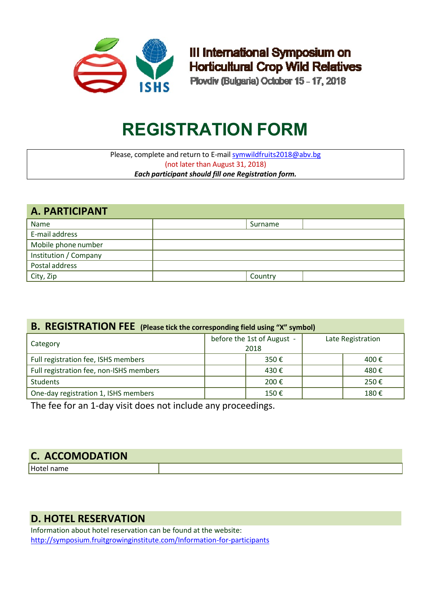

III International Symposium on **Horticultural Crop Wild Relatives** 

Plovdiv (Bulgaria) October 15 - 17, 2018

# **REGISTRATION FORM**

Please, complete and return to E-mail [symwildfruits2018@abv.bg](mailto:instov@infotel.bg) (not later than August 31, 2018) *Each participant should fill one Registration form.*

| A. PARTICIPANT        |         |  |  |  |  |  |
|-----------------------|---------|--|--|--|--|--|
| Name                  | Surname |  |  |  |  |  |
| E-mail address        |         |  |  |  |  |  |
| Mobile phone number   |         |  |  |  |  |  |
| Institution / Company |         |  |  |  |  |  |
| Postal address        |         |  |  |  |  |  |
| City, Zip             | Country |  |  |  |  |  |

## **B. REGISTRATION FEE (Please tick the corresponding field using "X" symbol)**

| Category                                | before the 1st of August -<br>2018 | Late Registration |  |
|-----------------------------------------|------------------------------------|-------------------|--|
| Full registration fee, ISHS members     | 350€                               | 400€              |  |
| Full registration fee, non-ISHS members | 430€                               | 480€              |  |
| <b>Students</b>                         | 200€                               | 250€              |  |
| One-day registration 1, ISHS members    | 150€                               | 180€              |  |

The fee for an 1-day visit does not include any proceedings.

| <b>C. ACCOMODATION</b> |  |
|------------------------|--|
|                        |  |

# **D. HOTEL RESERVATION**

Information about hotel reservation can be found at the website: <http://symposium.fruitgrowinginstitute.com/Information-for-participants>